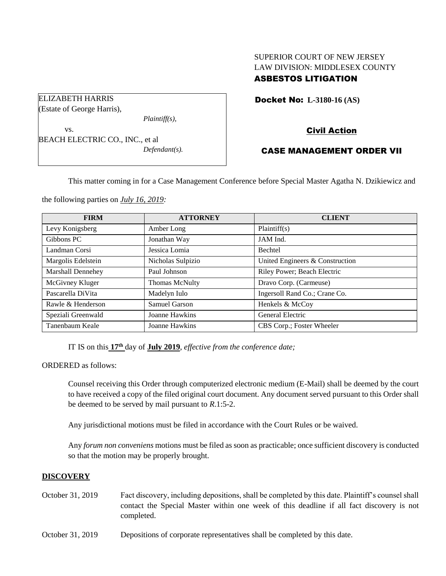# SUPERIOR COURT OF NEW JERSEY LAW DIVISION: MIDDLESEX COUNTY ASBESTOS LITIGATION

Docket No: **L-3180-16 (AS)** 

Civil Action

## CASE MANAGEMENT ORDER VII

This matter coming in for a Case Management Conference before Special Master Agatha N. Dzikiewicz and

the following parties on *July 16, 2019:*

BEACH ELECTRIC CO., INC., et al

ELIZABETH HARRIS (Estate of George Harris),

vs.

| <b>FIRM</b>              | <b>ATTORNEY</b>       | <b>CLIENT</b>                   |
|--------------------------|-----------------------|---------------------------------|
| Levy Konigsberg          | Amber Long            | Plaintiff(s)                    |
| Gibbons PC               | Jonathan Way          | JAM Ind.                        |
| Landman Corsi            | Jessica Lomia         | <b>Bechtel</b>                  |
| Margolis Edelstein       | Nicholas Sulpizio     | United Engineers & Construction |
| <b>Marshall Dennehey</b> | Paul Johnson          | Riley Power; Beach Electric     |
| McGivney Kluger          | <b>Thomas McNulty</b> | Dravo Corp. (Carmeuse)          |
| Pascarella DiVita        | Madelyn Iulo          | Ingersoll Rand Co.; Crane Co.   |
| Rawle & Henderson        | Samuel Garson         | Henkels & McCoy                 |
| Speziali Greenwald       | Joanne Hawkins        | General Electric                |
| Tanenbaum Keale          | Joanne Hawkins        | CBS Corp.; Foster Wheeler       |

IT IS on this **17th** day of **July 2019**, *effective from the conference date;*

*Plaintiff(s),*

*Defendant(s).*

ORDERED as follows:

Counsel receiving this Order through computerized electronic medium (E-Mail) shall be deemed by the court to have received a copy of the filed original court document. Any document served pursuant to this Order shall be deemed to be served by mail pursuant to *R*.1:5-2.

Any jurisdictional motions must be filed in accordance with the Court Rules or be waived.

Any *forum non conveniens* motions must be filed as soon as practicable; once sufficient discovery is conducted so that the motion may be properly brought.

#### **DISCOVERY**

- October 31, 2019 Fact discovery, including depositions, shall be completed by this date. Plaintiff's counsel shall contact the Special Master within one week of this deadline if all fact discovery is not completed.
- October 31, 2019 Depositions of corporate representatives shall be completed by this date.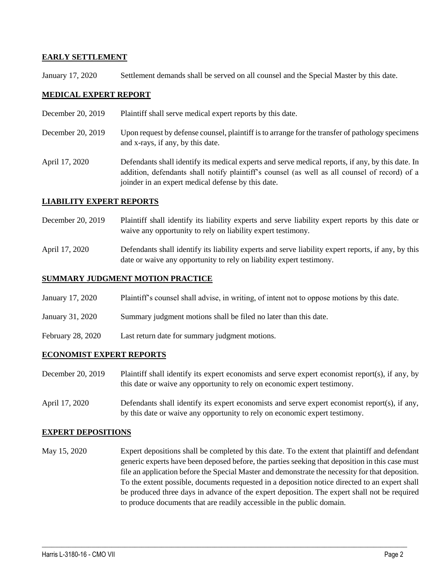### **EARLY SETTLEMENT**

January 17, 2020 Settlement demands shall be served on all counsel and the Special Master by this date.

## **MEDICAL EXPERT REPORT**

- December 20, 2019 Plaintiff shall serve medical expert reports by this date.
- December 20, 2019 Upon request by defense counsel, plaintiff is to arrange for the transfer of pathology specimens and x-rays, if any, by this date.
- April 17, 2020 Defendants shall identify its medical experts and serve medical reports, if any, by this date. In addition, defendants shall notify plaintiff's counsel (as well as all counsel of record) of a joinder in an expert medical defense by this date.

#### **LIABILITY EXPERT REPORTS**

- December 20, 2019 Plaintiff shall identify its liability experts and serve liability expert reports by this date or waive any opportunity to rely on liability expert testimony.
- April 17, 2020 Defendants shall identify its liability experts and serve liability expert reports, if any, by this date or waive any opportunity to rely on liability expert testimony.

### **SUMMARY JUDGMENT MOTION PRACTICE**

- January 17, 2020 Plaintiff's counsel shall advise, in writing, of intent not to oppose motions by this date.
- January 31, 2020 Summary judgment motions shall be filed no later than this date.
- February 28, 2020 Last return date for summary judgment motions.

#### **ECONOMIST EXPERT REPORTS**

- December 20, 2019 Plaintiff shall identify its expert economists and serve expert economist report(s), if any, by this date or waive any opportunity to rely on economic expert testimony.
- April 17, 2020 Defendants shall identify its expert economists and serve expert economist report(s), if any, by this date or waive any opportunity to rely on economic expert testimony.

#### **EXPERT DEPOSITIONS**

May 15, 2020 Expert depositions shall be completed by this date. To the extent that plaintiff and defendant generic experts have been deposed before, the parties seeking that deposition in this case must file an application before the Special Master and demonstrate the necessity for that deposition. To the extent possible, documents requested in a deposition notice directed to an expert shall be produced three days in advance of the expert deposition. The expert shall not be required to produce documents that are readily accessible in the public domain.

 $\_$  , and the set of the set of the set of the set of the set of the set of the set of the set of the set of the set of the set of the set of the set of the set of the set of the set of the set of the set of the set of th